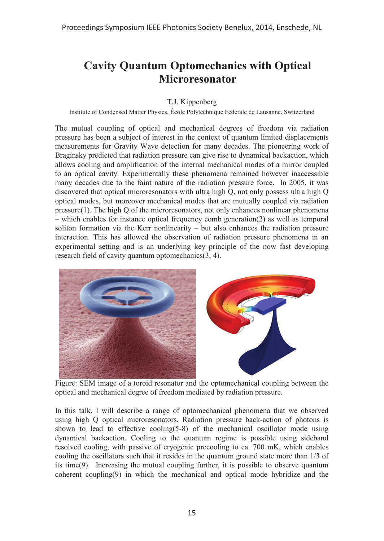## **Cavity Quantum Optomechanics with Optical Microresonator**

## T.J. Kippenberg

Institute of Condensed Matter Physics, École Polytechnique Fédérale de Lausanne, Switzerland

The mutual coupling of optical and mechanical degrees of freedom via radiation pressure has been a subject of interest in the context of quantum limited displacements measurements for Gravity Wave detection for many decades. The pioneering work of Braginsky predicted that radiation pressure can give rise to dynamical backaction, which allows cooling and amplification of the internal mechanical modes of a mirror coupled to an optical cavity. Experimentally these phenomena remained however inaccessible many decades due to the faint nature of the radiation pressure force. In 2005, it was discovered that optical microresonators with ultra high Q, not only possess ultra high Q optical modes, but moreover mechanical modes that are mutually coupled via radiation pressure(1). The high Q of the microresonators, not only enhances nonlinear phenomena – which enables for instance optical frequency comb generation(2) as well as temporal soliton formation via the Kerr nonlinearity – but also enhances the radiation pressure interaction. This has allowed the observation of radiation pressure phenomena in an experimental setting and is an underlying key principle of the now fast developing research field of cavity quantum optomechanics(3, 4).



Figure: SEM image of a toroid resonator and the optomechanical coupling between the optical and mechanical degree of freedom mediated by radiation pressure.

In this talk, I will describe a range of optomechanical phenomena that we observed using high Q optical microresonators. Radiation pressure back-action of photons is shown to lead to effective cooling(5-8) of the mechanical oscillator mode using dynamical backaction. Cooling to the quantum regime is possible using sideband resolved cooling, with passive of cryogenic precooling to ca. 700 mK, which enables cooling the oscillators such that it resides in the quantum ground state more than 1/3 of its time(9). Increasing the mutual coupling further, it is possible to observe quantum coherent coupling(9) in which the mechanical and optical mode hybridize and the